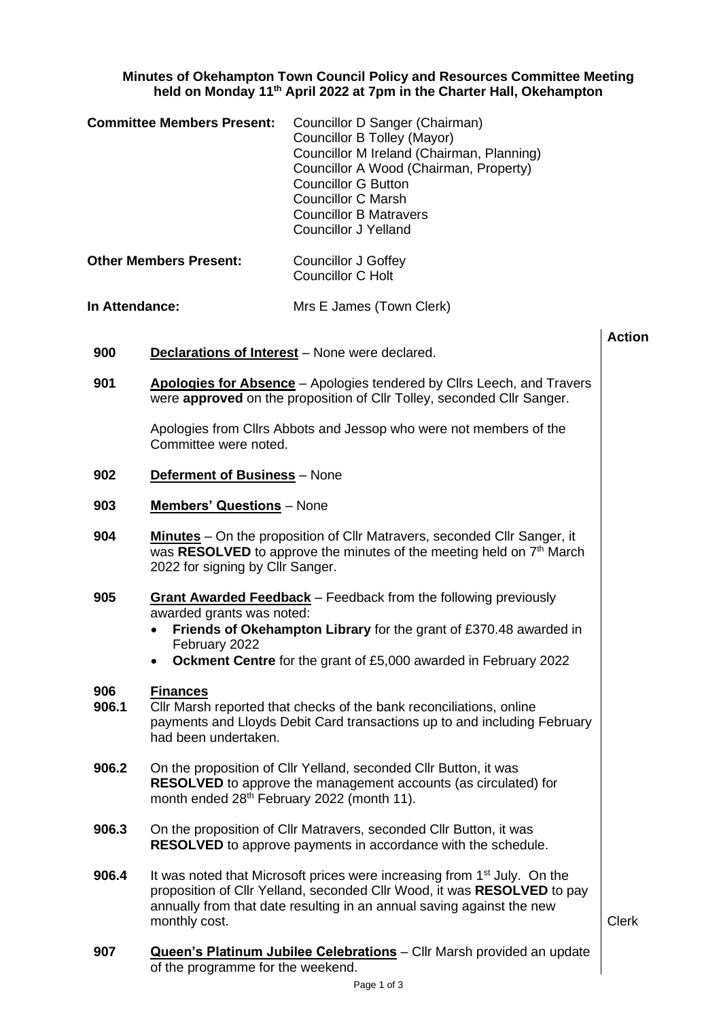## **Minutes of Okehampton Town Council Policy and Resources Committee Meeting held on Monday 11th April 2022 at 7pm in the Charter Hall, Okehampton**

| <b>Committee Members Present:</b> | Councillor D Sanger (Chairman)            |
|-----------------------------------|-------------------------------------------|
|                                   | Councillor B Tolley (Mayor)               |
|                                   | Councillor M Ireland (Chairman, Planning) |
|                                   | Councillor A Wood (Chairman, Property)    |
|                                   | <b>Councillor G Button</b>                |
|                                   | <b>Councillor C Marsh</b>                 |
|                                   | <b>Councillor B Matravers</b>             |
|                                   | <b>Councillor J Yelland</b>               |
|                                   |                                           |

| <b>Other Members Present:</b> | Councillor J Goffey |
|-------------------------------|---------------------|
|                               | Councillor C Holt   |

## **In Attendance:** Mrs E James (Town Clerk)

- **Action 900 Declarations of Interest** – None were declared. **901 Apologies for Absence** – Apologies tendered by Cllrs Leech, and Travers were **approved** on the proposition of Cllr Tolley, seconded Cllr Sanger. Apologies from Cllrs Abbots and Jessop who were not members of the Committee were noted. **902 Deferment of Business** – None **903 Members' Questions** – None **904 Minutes** – On the proposition of Cllr Matravers, seconded Cllr Sanger, it was RESOLVED to approve the minutes of the meeting held on 7<sup>th</sup> March 2022 for signing by Cllr Sanger. **905 Grant Awarded Feedback** – Feedback from the following previously awarded grants was noted: • **Friends of Okehampton Library** for the grant of £370.48 awarded in February 2022 • **Ockment Centre** for the grant of £5,000 awarded in February 2022 **906 Finances 906.1** Cllr Marsh reported that checks of the bank reconciliations, online payments and Lloyds Debit Card transactions up to and including February had been undertaken. **906.2** On the proposition of Cllr Yelland, seconded Cllr Button, it was **RESOLVED** to approve the management accounts (as circulated) for month ended 28<sup>th</sup> February 2022 (month 11). **906.3** On the proposition of Cllr Matravers, seconded Cllr Button, it was **RESOLVED** to approve payments in accordance with the schedule. **906.4** It was noted that Microsoft prices were increasing from 1<sup>st</sup> July. On the proposition of Cllr Yelland, seconded Cllr Wood, it was **RESOLVED** to pay annually from that date resulting in an annual saving against the new monthly cost.
- **907 Queen's Platinum Jubilee Celebrations** Cllr Marsh provided an update of the programme for the weekend.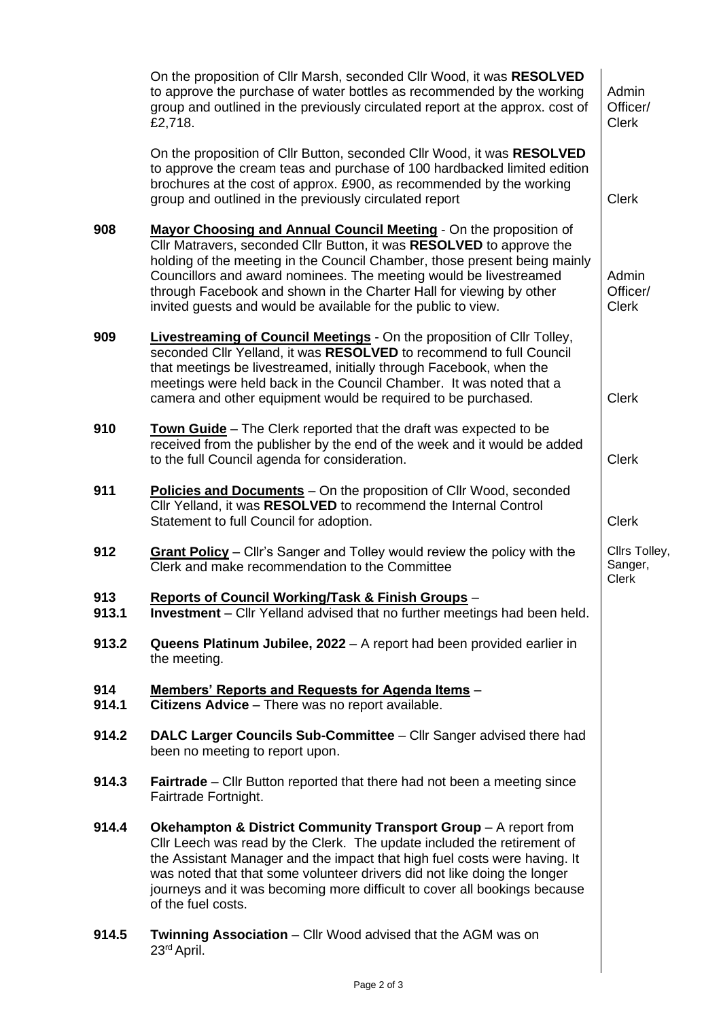|              | On the proposition of Cllr Marsh, seconded Cllr Wood, it was RESOLVED<br>to approve the purchase of water bottles as recommended by the working<br>group and outlined in the previously circulated report at the approx. cost of<br>£2,718.                                                                                                                                                                                         | Admin<br>Officer/<br><b>Clerk</b>        |
|--------------|-------------------------------------------------------------------------------------------------------------------------------------------------------------------------------------------------------------------------------------------------------------------------------------------------------------------------------------------------------------------------------------------------------------------------------------|------------------------------------------|
|              | On the proposition of Cllr Button, seconded Cllr Wood, it was RESOLVED<br>to approve the cream teas and purchase of 100 hardbacked limited edition<br>brochures at the cost of approx. £900, as recommended by the working<br>group and outlined in the previously circulated report                                                                                                                                                | <b>Clerk</b>                             |
| 908          | Mayor Choosing and Annual Council Meeting - On the proposition of<br>Cllr Matravers, seconded Cllr Button, it was RESOLVED to approve the<br>holding of the meeting in the Council Chamber, those present being mainly<br>Councillors and award nominees. The meeting would be livestreamed<br>through Facebook and shown in the Charter Hall for viewing by other<br>invited guests and would be available for the public to view. | Admin<br>Officer/<br><b>Clerk</b>        |
| 909          | <b>Livestreaming of Council Meetings</b> - On the proposition of Cllr Tolley,<br>seconded Cllr Yelland, it was RESOLVED to recommend to full Council<br>that meetings be livestreamed, initially through Facebook, when the<br>meetings were held back in the Council Chamber. It was noted that a<br>camera and other equipment would be required to be purchased.                                                                 | <b>Clerk</b>                             |
| 910          | <b>Town Guide</b> – The Clerk reported that the draft was expected to be<br>received from the publisher by the end of the week and it would be added<br>to the full Council agenda for consideration.                                                                                                                                                                                                                               | <b>Clerk</b>                             |
| 911          | Policies and Documents - On the proposition of Cllr Wood, seconded<br>Cllr Yelland, it was RESOLVED to recommend the Internal Control<br>Statement to full Council for adoption.                                                                                                                                                                                                                                                    | <b>Clerk</b>                             |
| 912          | Grant Policy - Cllr's Sanger and Tolley would review the policy with the<br>Clerk and make recommendation to the Committee                                                                                                                                                                                                                                                                                                          | Cllrs Tolley,<br>Sanger,<br><b>Clerk</b> |
| 913<br>913.1 | Reports of Council Working/Task & Finish Groups -<br><b>Investment</b> – Cllr Yelland advised that no further meetings had been held.                                                                                                                                                                                                                                                                                               |                                          |
| 913.2        | Queens Platinum Jubilee, 2022 - A report had been provided earlier in<br>the meeting.                                                                                                                                                                                                                                                                                                                                               |                                          |
| 914<br>914.1 | <u><b>Members' Reports and Requests for Agenda Items -</b></u><br><b>Citizens Advice</b> – There was no report available.                                                                                                                                                                                                                                                                                                           |                                          |
| 914.2        | DALC Larger Councils Sub-Committee - Cllr Sanger advised there had<br>been no meeting to report upon.                                                                                                                                                                                                                                                                                                                               |                                          |
| 914.3        | <b>Fairtrade</b> – Cllr Button reported that there had not been a meeting since<br>Fairtrade Fortnight.                                                                                                                                                                                                                                                                                                                             |                                          |
| 914.4        | <b>Okehampton &amp; District Community Transport Group - A report from</b><br>Cllr Leech was read by the Clerk. The update included the retirement of<br>the Assistant Manager and the impact that high fuel costs were having. It<br>was noted that that some volunteer drivers did not like doing the longer<br>journeys and it was becoming more difficult to cover all bookings because<br>of the fuel costs.                   |                                          |
| 914.5        | <b>Twinning Association</b> – Cllr Wood advised that the AGM was on<br>23 <sup>rd</sup> April.                                                                                                                                                                                                                                                                                                                                      |                                          |